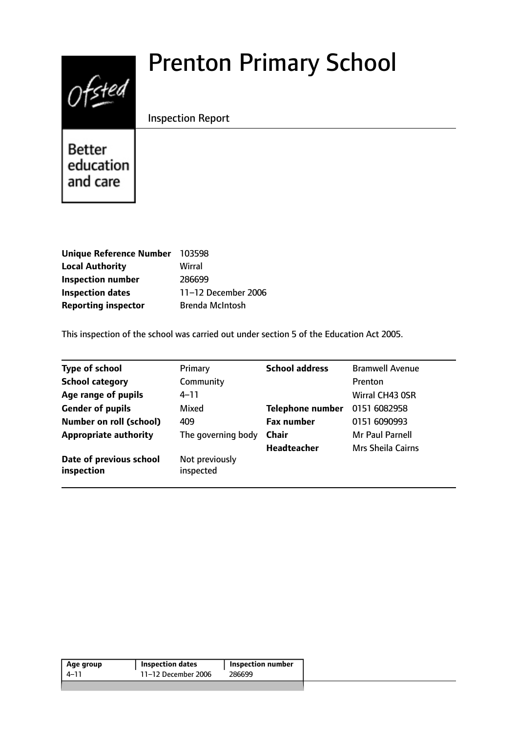# $0$ fsted

# Prenton Primary School

# Inspection Report

**Better** education and care

| Unique Reference Number 103598 |                        |
|--------------------------------|------------------------|
| <b>Local Authority</b>         | Wirral                 |
| <b>Inspection number</b>       | 286699                 |
| <b>Inspection dates</b>        | 11-12 December 2006    |
| <b>Reporting inspector</b>     | <b>Brenda McIntosh</b> |

This inspection of the school was carried out under section 5 of the Education Act 2005.

| <b>Type of school</b>                 | Primary                     | <b>School address</b>   | <b>Bramwell Avenue</b> |
|---------------------------------------|-----------------------------|-------------------------|------------------------|
| <b>School category</b>                | Community                   |                         | <b>Prenton</b>         |
| Age range of pupils                   | $4 - 11$                    |                         | Wirral CH43 OSR        |
| <b>Gender of pupils</b>               | Mixed                       | <b>Telephone number</b> | 0151 6082958           |
| <b>Number on roll (school)</b>        | 409                         | <b>Fax number</b>       | 0151 6090993           |
| <b>Appropriate authority</b>          | The governing body          | <b>Chair</b>            | Mr Paul Parnell        |
|                                       |                             | <b>Headteacher</b>      | Mrs Sheila Cairns      |
| Date of previous school<br>inspection | Not previously<br>inspected |                         |                        |

| 11-12 December 2006<br>286699<br>4–11 | Age group | <b>Inspection dates</b> | Inspection number |  |
|---------------------------------------|-----------|-------------------------|-------------------|--|
|                                       |           |                         |                   |  |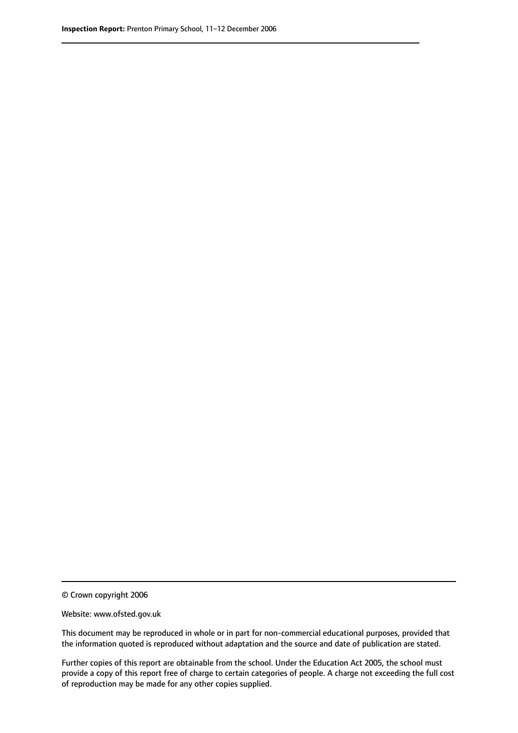<sup>©</sup> Crown copyright 2006

Website: www.ofsted.gov.uk

This document may be reproduced in whole or in part for non-commercial educational purposes, provided that the information quoted is reproduced without adaptation and the source and date of publication are stated.

Further copies of this report are obtainable from the school. Under the Education Act 2005, the school must provide a copy of this report free of charge to certain categories of people. A charge not exceeding the full cost of reproduction may be made for any other copies supplied.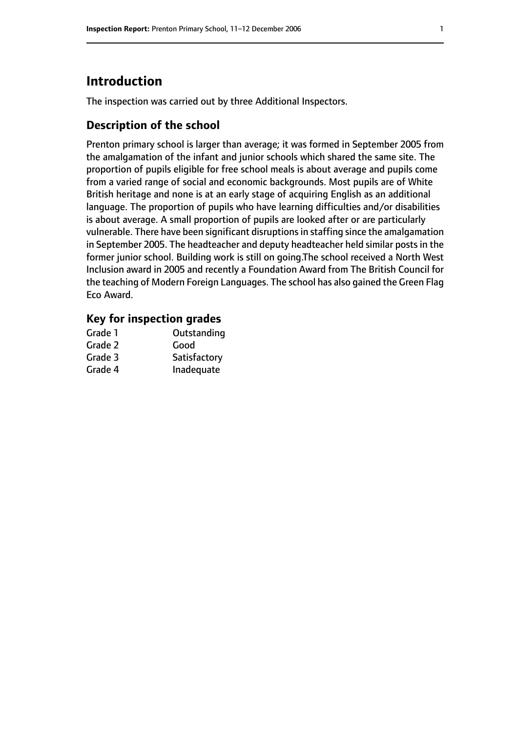# **Introduction**

The inspection was carried out by three Additional Inspectors.

# **Description of the school**

Prenton primary school is larger than average; it was formed in September 2005 from the amalgamation of the infant and junior schools which shared the same site. The proportion of pupils eligible for free school meals is about average and pupils come from a varied range of social and economic backgrounds. Most pupils are of White British heritage and none is at an early stage of acquiring English as an additional language. The proportion of pupils who have learning difficulties and/or disabilities is about average. A small proportion of pupils are looked after or are particularly vulnerable. There have been significant disruptions in staffing since the amalgamation in September 2005. The headteacher and deputy headteacher held similar posts in the former junior school. Building work is still on going.The school received a North West Inclusion award in 2005 and recently a Foundation Award from The British Council for the teaching of Modern Foreign Languages. The school has also gained the Green Flag Eco Award.

### **Key for inspection grades**

| Grade 1 | Outstanding  |
|---------|--------------|
| Grade 2 | Good         |
| Grade 3 | Satisfactory |
| Grade 4 | Inadequate   |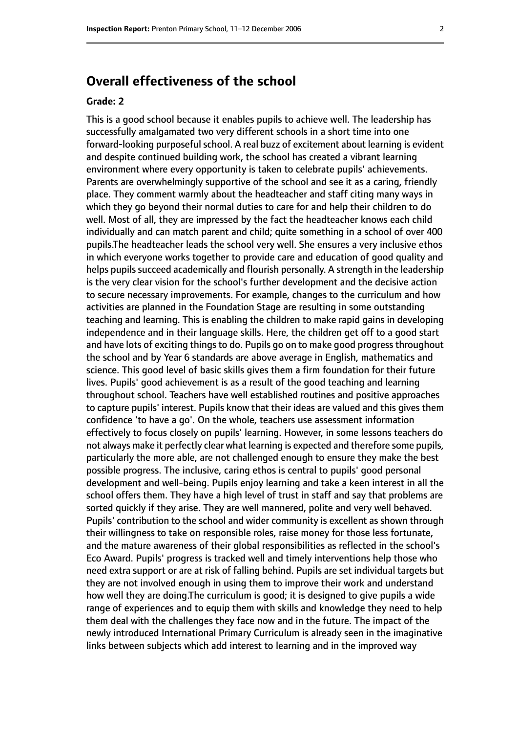# **Overall effectiveness of the school**

#### **Grade: 2**

This is a good school because it enables pupils to achieve well. The leadership has successfully amalgamated two very different schools in a short time into one forward-looking purposeful school. A real buzz of excitement about learning is evident and despite continued building work, the school has created a vibrant learning environment where every opportunity is taken to celebrate pupils' achievements. Parents are overwhelmingly supportive of the school and see it as a caring, friendly place. They comment warmly about the headteacher and staff citing many ways in which they go beyond their normal duties to care for and help their children to do well. Most of all, they are impressed by the fact the headteacher knows each child individually and can match parent and child; quite something in a school of over 400 pupils.The headteacher leads the school very well. She ensures a very inclusive ethos in which everyone works together to provide care and education of good quality and helps pupils succeed academically and flourish personally. A strength in the leadership is the very clear vision for the school's further development and the decisive action to secure necessary improvements. For example, changes to the curriculum and how activities are planned in the Foundation Stage are resulting in some outstanding teaching and learning. This is enabling the children to make rapid gains in developing independence and in their language skills. Here, the children get off to a good start and have lots of exciting things to do. Pupils go on to make good progress throughout the school and by Year 6 standards are above average in English, mathematics and science. This good level of basic skills gives them a firm foundation for their future lives. Pupils' good achievement is as a result of the good teaching and learning throughout school. Teachers have well established routines and positive approaches to capture pupils' interest. Pupils know that their ideas are valued and this gives them confidence 'to have a go'. On the whole, teachers use assessment information effectively to focus closely on pupils' learning. However, in some lessons teachers do not always make it perfectly clear what learning is expected and therefore some pupils, particularly the more able, are not challenged enough to ensure they make the best possible progress. The inclusive, caring ethos is central to pupils' good personal development and well-being. Pupils enjoy learning and take a keen interest in all the school offers them. They have a high level of trust in staff and say that problems are sorted quickly if they arise. They are well mannered, polite and very well behaved. Pupils' contribution to the school and wider community is excellent as shown through their willingness to take on responsible roles, raise money for those less fortunate, and the mature awareness of their global responsibilities as reflected in the school's Eco Award. Pupils' progress is tracked well and timely interventions help those who need extra support or are at risk of falling behind. Pupils are set individual targets but they are not involved enough in using them to improve their work and understand how well they are doing.The curriculum is good; it is designed to give pupils a wide range of experiences and to equip them with skills and knowledge they need to help them deal with the challenges they face now and in the future. The impact of the newly introduced International Primary Curriculum is already seen in the imaginative links between subjects which add interest to learning and in the improved way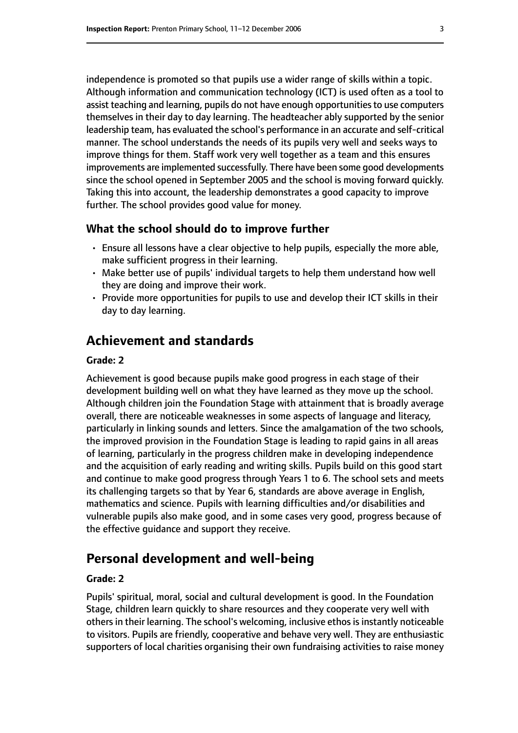independence is promoted so that pupils use a wider range of skills within a topic. Although information and communication technology (ICT) is used often as a tool to assist teaching and learning, pupils do not have enough opportunities to use computers themselves in their day to day learning. The headteacher ably supported by the senior leadership team, has evaluated the school's performance in an accurate and self-critical manner. The school understands the needs of its pupils very well and seeks ways to improve things for them. Staff work very well together as a team and this ensures improvements are implemented successfully. There have been some good developments since the school opened in September 2005 and the school is moving forward quickly. Taking this into account, the leadership demonstrates a good capacity to improve further. The school provides good value for money.

#### **What the school should do to improve further**

- Ensure all lessons have a clear objective to help pupils, especially the more able, make sufficient progress in their learning.
- Make better use of pupils' individual targets to help them understand how well they are doing and improve their work.
- Provide more opportunities for pupils to use and develop their ICT skills in their day to day learning.

# **Achievement and standards**

#### **Grade: 2**

Achievement is good because pupils make good progress in each stage of their development building well on what they have learned as they move up the school. Although children join the Foundation Stage with attainment that is broadly average overall, there are noticeable weaknesses in some aspects of language and literacy, particularly in linking sounds and letters. Since the amalgamation of the two schools, the improved provision in the Foundation Stage is leading to rapid gains in all areas of learning, particularly in the progress children make in developing independence and the acquisition of early reading and writing skills. Pupils build on this good start and continue to make good progress through Years 1 to 6. The school sets and meets its challenging targets so that by Year 6, standards are above average in English, mathematics and science. Pupils with learning difficulties and/or disabilities and vulnerable pupils also make good, and in some cases very good, progress because of the effective guidance and support they receive.

# **Personal development and well-being**

#### **Grade: 2**

Pupils' spiritual, moral, social and cultural development is good. In the Foundation Stage, children learn quickly to share resources and they cooperate very well with others in their learning. The school's welcoming, inclusive ethos is instantly noticeable to visitors. Pupils are friendly, cooperative and behave very well. They are enthusiastic supporters of local charities organising their own fundraising activities to raise money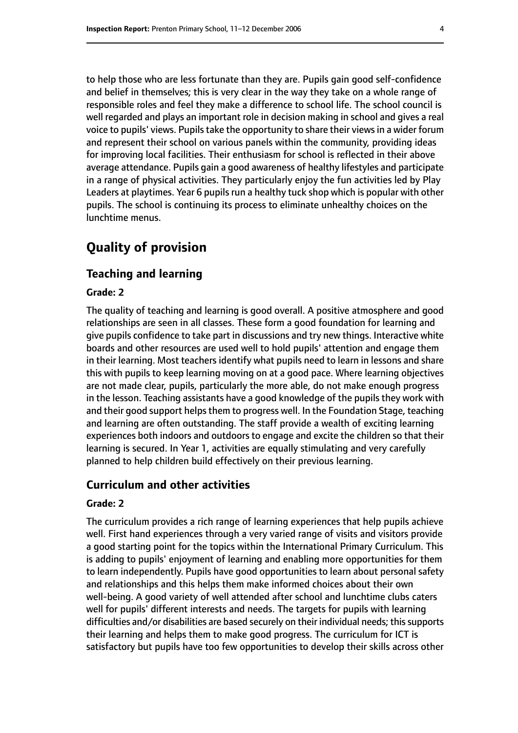to help those who are less fortunate than they are. Pupils gain good self-confidence and belief in themselves; this is very clear in the way they take on a whole range of responsible roles and feel they make a difference to school life. The school council is well regarded and plays an important role in decision making in school and gives a real voice to pupils' views. Pupils take the opportunity to share their views in a wider forum and represent their school on various panels within the community, providing ideas for improving local facilities. Their enthusiasm for school is reflected in their above average attendance. Pupils gain a good awareness of healthy lifestyles and participate in a range of physical activities. They particularly enjoy the fun activities led by Play Leaders at playtimes. Year 6 pupils run a healthy tuck shop which is popular with other pupils. The school is continuing its process to eliminate unhealthy choices on the lunchtime menus.

# **Quality of provision**

#### **Teaching and learning**

#### **Grade: 2**

The quality of teaching and learning is good overall. A positive atmosphere and good relationships are seen in all classes. These form a good foundation for learning and give pupils confidence to take part in discussions and try new things. Interactive white boards and other resources are used well to hold pupils' attention and engage them in their learning. Most teachers identify what pupils need to learn in lessons and share this with pupils to keep learning moving on at a good pace. Where learning objectives are not made clear, pupils, particularly the more able, do not make enough progress in the lesson. Teaching assistants have a good knowledge of the pupils they work with and their good support helps them to progress well. In the Foundation Stage, teaching and learning are often outstanding. The staff provide a wealth of exciting learning experiences both indoors and outdoors to engage and excite the children so that their learning is secured. In Year 1, activities are equally stimulating and very carefully planned to help children build effectively on their previous learning.

#### **Curriculum and other activities**

#### **Grade: 2**

The curriculum provides a rich range of learning experiences that help pupils achieve well. First hand experiences through a very varied range of visits and visitors provide a good starting point for the topics within the International Primary Curriculum. This is adding to pupils' enjoyment of learning and enabling more opportunities for them to learn independently. Pupils have good opportunities to learn about personal safety and relationships and this helps them make informed choices about their own well-being. A good variety of well attended after school and lunchtime clubs caters well for pupils' different interests and needs. The targets for pupils with learning difficulties and/or disabilities are based securely on their individual needs; this supports their learning and helps them to make good progress. The curriculum for ICT is satisfactory but pupils have too few opportunities to develop their skills across other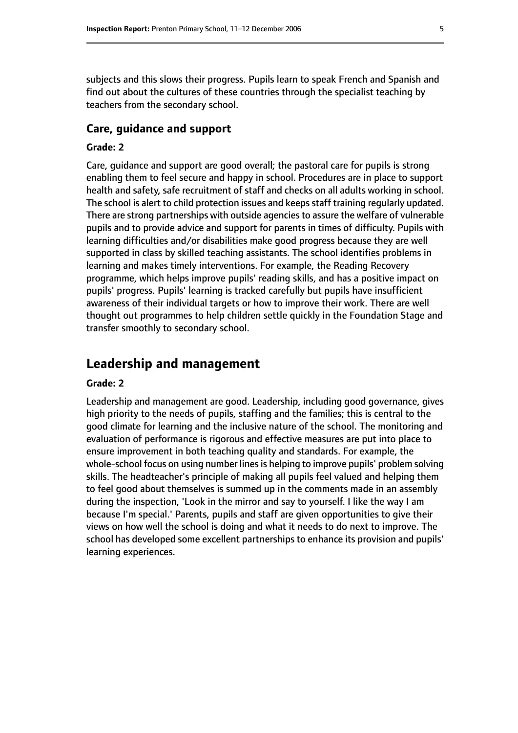subjects and this slows their progress. Pupils learn to speak French and Spanish and find out about the cultures of these countries through the specialist teaching by teachers from the secondary school.

#### **Care, guidance and support**

#### **Grade: 2**

Care, guidance and support are good overall; the pastoral care for pupils is strong enabling them to feel secure and happy in school. Procedures are in place to support health and safety, safe recruitment of staff and checks on all adults working in school. The school is alert to child protection issues and keeps staff training regularly updated. There are strong partnerships with outside agencies to assure the welfare of vulnerable pupils and to provide advice and support for parents in times of difficulty. Pupils with learning difficulties and/or disabilities make good progress because they are well supported in class by skilled teaching assistants. The school identifies problems in learning and makes timely interventions. For example, the Reading Recovery programme, which helps improve pupils' reading skills, and has a positive impact on pupils' progress. Pupils' learning is tracked carefully but pupils have insufficient awareness of their individual targets or how to improve their work. There are well thought out programmes to help children settle quickly in the Foundation Stage and transfer smoothly to secondary school.

# **Leadership and management**

#### **Grade: 2**

Leadership and management are good. Leadership, including good governance, gives high priority to the needs of pupils, staffing and the families; this is central to the good climate for learning and the inclusive nature of the school. The monitoring and evaluation of performance is rigorous and effective measures are put into place to ensure improvement in both teaching quality and standards. For example, the whole-school focus on using number lines is helping to improve pupils' problem solving skills. The headteacher's principle of making all pupils feel valued and helping them to feel good about themselves is summed up in the comments made in an assembly during the inspection, 'Look in the mirror and say to yourself. I like the way I am because I'm special.' Parents, pupils and staff are given opportunities to give their views on how well the school is doing and what it needs to do next to improve. The school has developed some excellent partnerships to enhance its provision and pupils' learning experiences.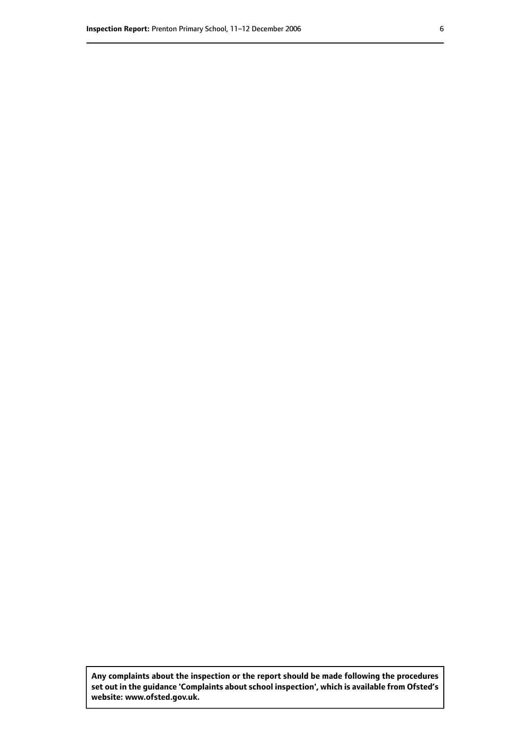**Any complaints about the inspection or the report should be made following the procedures set out inthe guidance 'Complaints about school inspection', whichis available from Ofsted's website: www.ofsted.gov.uk.**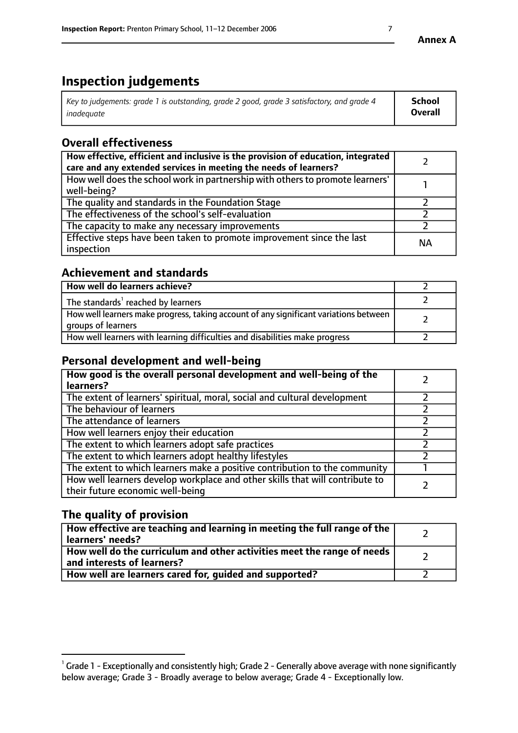# **Inspection judgements**

| Key to judgements: grade 1 is outstanding, grade 2 good, grade 3 satisfactory, and grade 4 | School         |
|--------------------------------------------------------------------------------------------|----------------|
| inadeauate                                                                                 | <b>Overall</b> |

# **Overall effectiveness**

| How effective, efficient and inclusive is the provision of education, integrated<br>care and any extended services in meeting the needs of learners? |           |
|------------------------------------------------------------------------------------------------------------------------------------------------------|-----------|
| How well does the school work in partnership with others to promote learners'<br>well-being?                                                         |           |
| The quality and standards in the Foundation Stage                                                                                                    |           |
| The effectiveness of the school's self-evaluation                                                                                                    |           |
| The capacity to make any necessary improvements                                                                                                      |           |
| Effective steps have been taken to promote improvement since the last<br>inspection                                                                  | <b>NA</b> |

## **Achievement and standards**

| How well do learners achieve?                                                                               |  |
|-------------------------------------------------------------------------------------------------------------|--|
| The standards <sup>1</sup> reached by learners                                                              |  |
| How well learners make progress, taking account of any significant variations between<br>groups of learners |  |
| How well learners with learning difficulties and disabilities make progress                                 |  |

# **Personal development and well-being**

| How good is the overall personal development and well-being of the<br>learners?                                  |  |
|------------------------------------------------------------------------------------------------------------------|--|
| The extent of learners' spiritual, moral, social and cultural development                                        |  |
| The behaviour of learners                                                                                        |  |
| The attendance of learners                                                                                       |  |
| How well learners enjoy their education                                                                          |  |
| The extent to which learners adopt safe practices                                                                |  |
| The extent to which learners adopt healthy lifestyles                                                            |  |
| The extent to which learners make a positive contribution to the community                                       |  |
| How well learners develop workplace and other skills that will contribute to<br>their future economic well-being |  |

# **The quality of provision**

| How effective are teaching and learning in meeting the full range of the<br>  learners' needs?                      |  |
|---------------------------------------------------------------------------------------------------------------------|--|
| $\mid$ How well do the curriculum and other activities meet the range of needs<br>$\mid$ and interests of learners? |  |
| How well are learners cared for, guided and supported?                                                              |  |

 $^1$  Grade 1 - Exceptionally and consistently high; Grade 2 - Generally above average with none significantly below average; Grade 3 - Broadly average to below average; Grade 4 - Exceptionally low.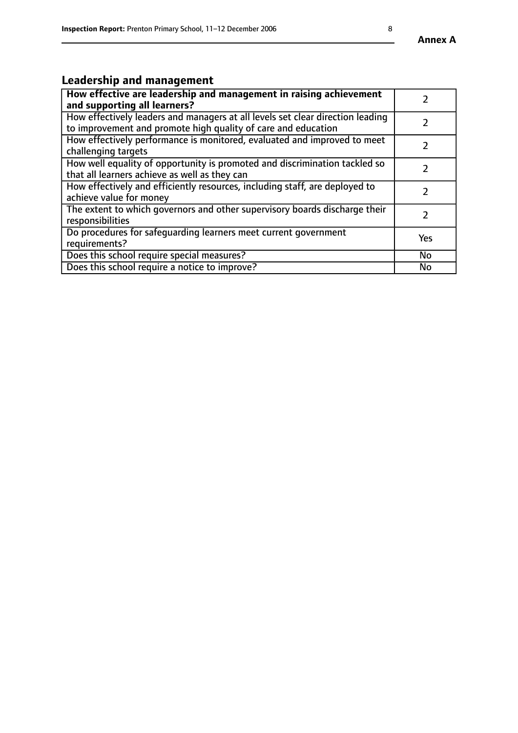#### **Annex A**

# **Leadership and management**

| How effective are leadership and management in raising achievement<br>and supporting all learners?                                              |               |
|-------------------------------------------------------------------------------------------------------------------------------------------------|---------------|
| How effectively leaders and managers at all levels set clear direction leading<br>to improvement and promote high quality of care and education |               |
| How effectively performance is monitored, evaluated and improved to meet<br>challenging targets                                                 | $\mathcal{L}$ |
| How well equality of opportunity is promoted and discrimination tackled so<br>that all learners achieve as well as they can                     |               |
| How effectively and efficiently resources, including staff, are deployed to<br>achieve value for money                                          | $\mathcal{P}$ |
| The extent to which governors and other supervisory boards discharge their<br>responsibilities                                                  |               |
| Do procedures for safequarding learners meet current government<br>requirements?                                                                | Yes           |
| Does this school require special measures?                                                                                                      | <b>No</b>     |
| Does this school require a notice to improve?                                                                                                   | <b>No</b>     |